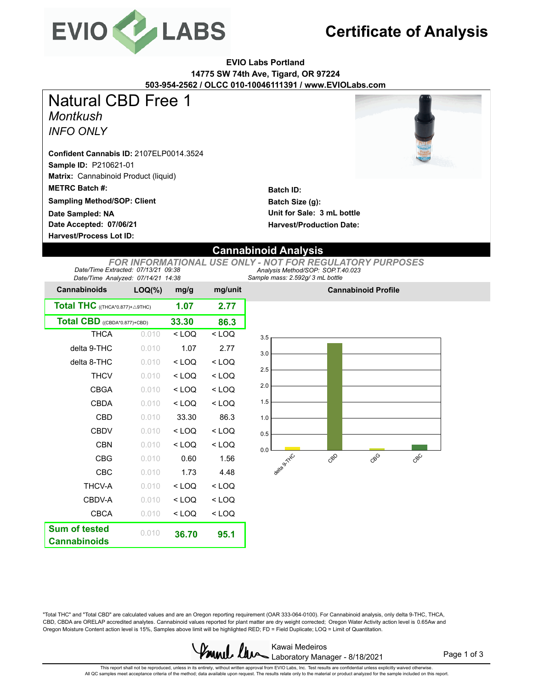

## **Certificate of Analysis**

#### **EVIO Labs Portland 14775 SW 74th Ave, Tigard, OR 97224 503-954-2562 / OLCC 010-10046111391 / www.EVIOLabs.com**

*Montkush* **Sample ID:** P210621-01 **Matrix:** Cannabinoid Product (liquid) **METRC Batch #:**  *INFO ONLY* **Sampling Method/SOP: Client Confident Cannabis ID:** 2107ELP0014.3524 Natural CBD Free 1

**Date Accepted: 07/06/21 Harvest/Process Lot ID: Date Sampled: NA**



**Batch ID: Batch Size (g): Unit for Sale: 3 mL bottle Harvest/Production Date:** 

### **Cannabinoid Analysis**

*Sample mass: 2.592g/ 3 mL bottle Analysis Method/SOP: SOP.T.40.023 FOR INFORMATIONAL USE ONLY - NOT FOR REGULATORY PURPOSES Date/Time Extracted: 07/13/21 09:38 Date/Time Analyzed: 07/14/21 14:38*

| <b>Cannabinoids</b>                        | $LOQ(\%)$ | mg/g    | mg/unit |
|--------------------------------------------|-----------|---------|---------|
| Total THC $((THE A*0.877)+\triangle 9THC)$ | 1.07      | 2.77    |         |
| Total $\mathbf{CBD}$ ((CBDA*0.877)+CBD)    | 33.30     | 86.3    |         |
| <b>THCA</b>                                | 0.010     | $<$ LOQ | $<$ LOQ |
| delta 9-THC                                | 0.010     | 1.07    | 2.77    |
| delta 8-THC                                | 0.010     | $<$ LOQ | $<$ LOQ |
| <b>THCV</b>                                | 0.010     | < 100   | $<$ LOQ |
| <b>CBGA</b>                                | 0.010     | $<$ LOQ | $<$ LOQ |
| <b>CBDA</b>                                | 0.010     | $<$ LOQ | $<$ LOQ |
| <b>CBD</b>                                 | 0.010     | 33.30   | 86.3    |
| CBDV                                       | 0.010     | < 100   | $<$ LOQ |
| CBN                                        | 0.010     | $<$ LOQ | < LOQ   |
| <b>CBG</b>                                 | 0.010     | 0.60    | 1.56    |
| CBC                                        | 0.010     | 1.73    | 4.48    |
| <b>THCV-A</b>                              | 0.010     | $<$ LOQ | $<$ LOQ |
| CBDV-A                                     | 0.010     | $<$ LOQ | < LOQ   |
| <b>CBCA</b>                                | 0.010     | $<$ LOQ | < LOQ   |
| <b>Sum of tested</b>                       | 0.010     | 36.70   | 95.1    |
| <b>Cannabinoids</b>                        |           |         |         |



**Cannabinoid Profile**

"Total THC" and "Total CBD" are calculated values and are an Oregon reporting requirement (OAR 333-064-0100). For Cannabinoid analysis, only delta 9-THC, THCA, CBD, CBDA are ORELAP accredited analytes. Cannabinoid values reported for plant matter are dry weight corrected; Oregon Water Activity action level is 0.65Aw and Oregon Moisture Content action level is 15%, Samples above limit will be highlighted RED; FD = Field Duplicate; LOQ = Limit of Quantitation.



Page 1 of 3

This report shall not be reproduced, unless in its entirety, without written approval from EVIO Labs, Inc. Test results are confidential unless explicitly waived otherwise.<br>All QC samples meet acceptance criteria of the me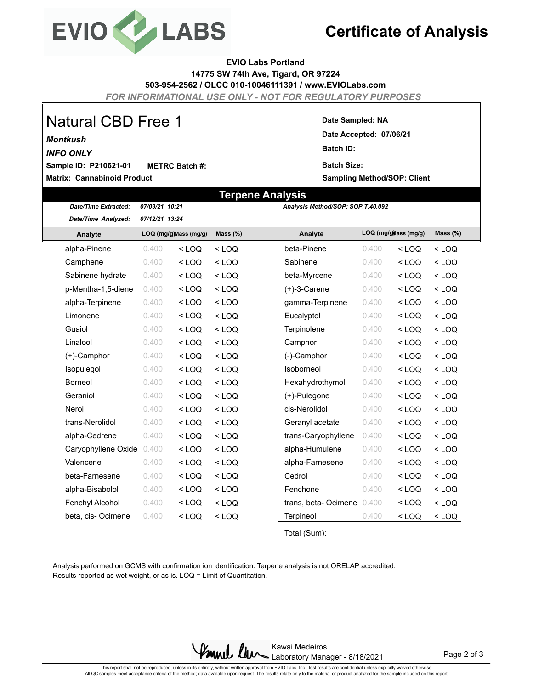

## **Certificate of Analysis**

#### **EVIO Labs Portland 14775 SW 74th Ave, Tigard, OR 97224**

**503-954-2562 / OLCC 010-10046111391 / www.EVIOLabs.com**

*FOR INFORMATIONAL USE ONLY - NOT FOR REGULATORY PURPOSES*

**Terpene Analysis**

# Natural CBD Free 1

#### *Montkush*

**(liquid)**

*INFO ONLY*

**Matrix: Cannabinoid Product Sample ID: P210621-01 METRC Batch #:** 

#### **Date Sampled: NA**

**Date Accepted: 07/06/21 Batch ID: Batch Size:** 

**Sampling Method/SOP: Client**

| <b>Date/Time Extracted:</b> | 07/09/21 10:21         |         |             | Analysis Method/SOP: SOP.T.40.092 |                       |         |             |
|-----------------------------|------------------------|---------|-------------|-----------------------------------|-----------------------|---------|-------------|
| Date/Time Analyzed:         | 07/12/21 13:24         |         |             |                                   |                       |         |             |
| Analyte                     | LOQ (mg/g) Mass (mg/g) |         | Mass $(\%)$ | Analyte                           | LOQ (mg/g) ass (mg/g) |         | Mass $(\%)$ |
| alpha-Pinene                | 0.400                  | $<$ LOQ | $<$ LOQ     | beta-Pinene                       | 0.400                 | $<$ LOQ | $<$ LOQ     |
| Camphene                    | 0.400                  | $<$ LOQ | $<$ LOQ     | Sabinene                          | 0.400                 | $<$ LOQ | $<$ LOQ     |
| Sabinene hydrate            | 0.400                  | $<$ LOQ | $<$ LOQ     | beta-Myrcene                      | 0.400                 | $<$ LOQ | $<$ LOQ     |
| p-Mentha-1,5-diene          | 0.400                  | $<$ LOQ | $<$ LOQ     | (+)-3-Carene                      | 0.400                 | $<$ LOQ | $<$ LOQ     |
| alpha-Terpinene             | 0.400                  | $<$ LOQ | $<$ LOQ     | gamma-Terpinene                   | 0.400                 | $<$ LOQ | $<$ LOQ     |
| Limonene                    | 0.400                  | $<$ LOQ | $<$ LOQ     | Eucalyptol                        | 0.400                 | $<$ LOQ | $<$ LOQ     |
| Guaiol                      | 0.400                  | $<$ LOQ | $<$ LOQ     | Terpinolene                       | 0.400                 | $<$ LOQ | $<$ LOQ     |
| Linalool                    | 0.400                  | $<$ LOQ | $<$ LOQ     | Camphor                           | 0.400                 | $<$ LOQ | $<$ LOQ     |
| (+)-Camphor                 | 0.400                  | $<$ LOQ | $<$ LOQ     | (-)-Camphor                       | 0.400                 | $<$ LOQ | $<$ LOQ     |
| Isopulegol                  | 0.400                  | $<$ LOQ | $<$ LOQ     | Isoborneol                        | 0.400                 | $<$ LOQ | $<$ LOQ     |
| <b>Borneol</b>              | 0.400                  | $<$ LOQ | $<$ LOQ     | Hexahydrothymol                   | 0.400                 | $<$ LOQ | $<$ LOQ     |
| Geraniol                    | 0.400                  | $<$ LOQ | $<$ LOQ     | (+)-Pulegone                      | 0.400                 | $<$ LOQ | $<$ LOQ     |
| Nerol                       | 0.400                  | $<$ LOQ | $<$ LOQ     | cis-Nerolidol                     | 0.400                 | $<$ LOQ | $<$ LOQ     |
| trans-Nerolidol             | 0.400                  | $<$ LOQ | $<$ LOQ     | Geranyl acetate                   | 0.400                 | $<$ LOQ | $<$ LOQ     |
| alpha-Cedrene               | 0.400                  | $<$ LOQ | $<$ LOQ     | trans-Caryophyllene               | 0.400                 | $<$ LOQ | $<$ LOQ     |
| Caryophyllene Oxide         | 0.400                  | $<$ LOQ | $<$ LOQ     | alpha-Humulene                    | 0.400                 | $<$ LOQ | $<$ LOQ     |
| Valencene                   | 0.400                  | $<$ LOQ | $<$ LOQ     | alpha-Farnesene                   | 0.400                 | $<$ LOQ | $<$ LOQ     |
| beta-Farnesene              | 0.400                  | $<$ LOQ | $<$ LOQ     | Cedrol                            | 0.400                 | $<$ LOQ | $<$ LOQ     |
| alpha-Bisabolol             | 0.400                  | $<$ LOQ | $<$ LOQ     | Fenchone                          | 0.400                 | $<$ LOQ | $<$ LOQ     |
| Fenchyl Alcohol             | 0.400                  | $<$ LOQ | $<$ LOQ     | trans, beta-Ocimene               | 0.400                 | $<$ LOQ | $<$ LOQ     |
| beta, cis-Ocimene           | 0.400                  | $<$ LOQ | $<$ LOQ     | Terpineol                         | 0.400                 | $<$ LOQ | $<$ LOQ     |

Total (Sum):

Analysis performed on GCMS with confirmation ion identification. Terpene analysis is not ORELAP accredited. Results reported as wet weight, or as is. LOQ = Limit of Quantitation.



Page 2 of 3